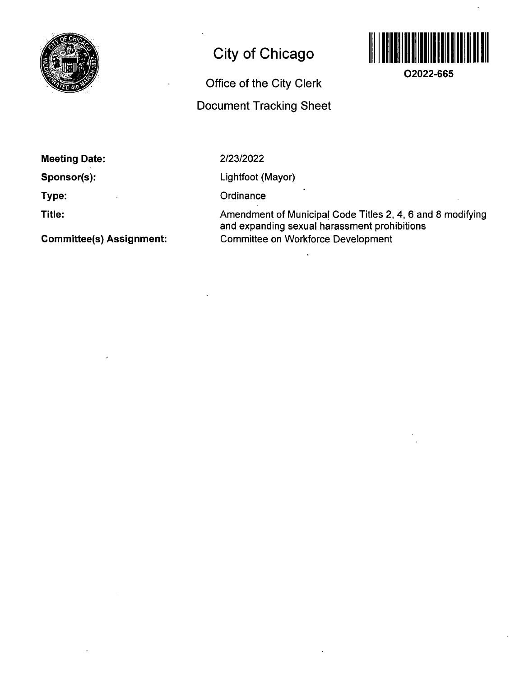

# **City of Chicago**

**Office of the City Clerk** 

**Document Tracking Sheet** 



**O2022-665** 

**Meeting Date:** 

**Sponsor(s):** 

**Type:** 

**Title:** 

**Committee(s) Assignment:** 

2/23/2022

Lightfoot (Mayor)

**Ordinance** 

Amendment of Municipal Code Titles 2, 4, 6 and 8 modifying and expanding sexual harassment prohibitions Committee on Workforce Development

 $\ddot{\phantom{0}}$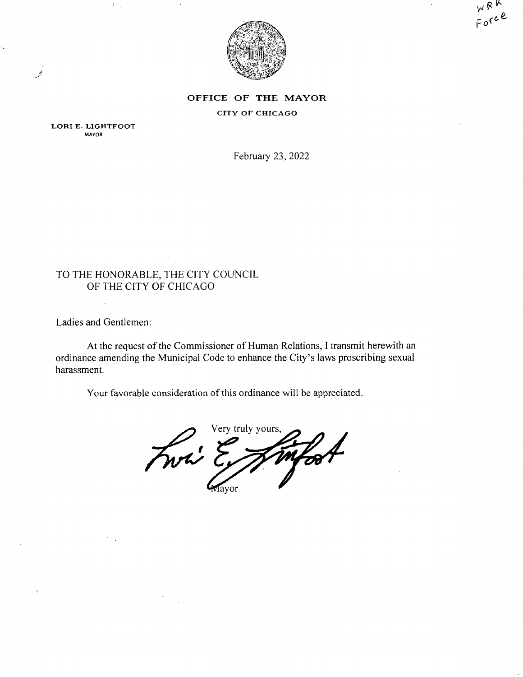

**1^** 

1-0^

#### **OFFICE OF THE MAYOR**

CITY OF CHICAGO

LORI E. LIGHTFOOT MAYOR

グ

February 23, 2022

# TO THE HONORABLE, THE CITY COUNCIL OF THE CITY OF CHICAGO

Ladies and Gentlemen:

At the request of the Commissioner of Human Relations, I transmit herewith an ordinance amending the Municipal Code to enhance the City's laws proscribing sexual harassment.

Your favorable consideration of this ordinance will be appreciated.

Very truly yours, Mayor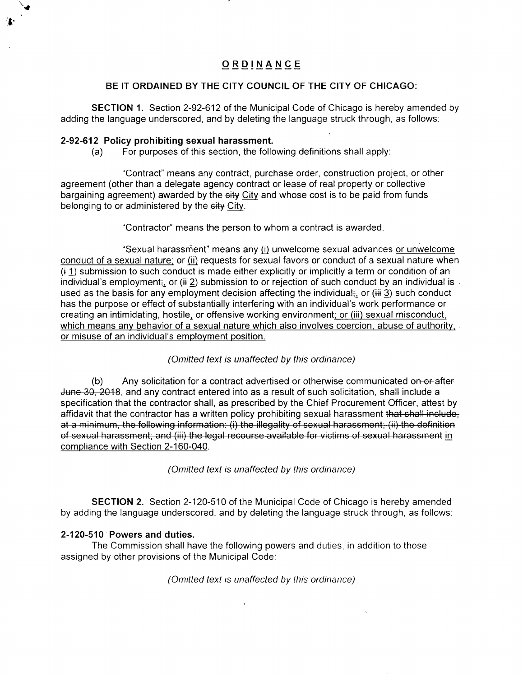# **ORDINANC E**

# **BE IT ORDAINED BY THE CITY COUNCIL OF THE CITY OF CHICAGO:**

SECTION 1. Section 2-92-612 of the Municipal Code of Chicago is hereby amended by adding the language underscored, and by deleting the language struck through, as follows:

# **2-92-612 Policy prohibiting sexual harassment.**

(a) For purposes of this section, the following definitions shall apply:

"Contract" means any contract, purchase order, construction project, or other agreement (other than a delegate agency contract or lease of real property or collective bargaining agreement) awarded by the eity City and whose cost is to be paid from funds belonging to or administered by the city City.

"Contractor" means the person to whom a contract is awarded.

"Sexual harassment" means any (i) unwelcome sexual advances or unwelcome conduct of a sexual nature; or (ii) requests for sexual favors or conduct of a sexual nature when  $(i_1)$  submission to such conduct is made either explicitly or implicitly a term or condition of an individual's employment;, or (ii 2) submission to or rejection of such conduct by an individual is. used as the basis for any employment decision affecting the individual; or (iii 3) such conduct has the purpose or effect of substantially interfering with an individual's work performance or creating an intimidating, hostile, or offensive working environment; or (iii) sexual misconduct, which means any behavior of a sexual nature which also involves coercion, abuse of authority, or misuse of an individual's employment position.

# (Omitted text is unaffected by this ordinance)

(b) Any solicitation for a contract advertised or otherwise communicated on or after June 30, 2018, and any contract entered into as a result of such solicitation, shall include a specification that the contractor shall, as prescribed by the Chief Procurement Officer, attest by affidavit that the contractor has a written policy prohibiting sexual harassment that shall include, at a minimum, the following information: (i) the illegality of sexual harassment; (ii) the definition of sexual harassment; and (iii) the legal recourse available for victims of sexual harassment in compliance with Section 2-160-040.

(Omitted text is unaffected by this ordinance)

**SECTION 2.** Section 2-120-510 of the Municipal Code of Chicago is hereby amended by adding the language underscored, and by deleting the language struck through, as follows:

# **2-120-510 Powers and duties.**

The Commission shall have the following powers and duties, in addition to those assigned by other provisions of the Municipal Code:

# (Omitted text is unaffected by this ordinance)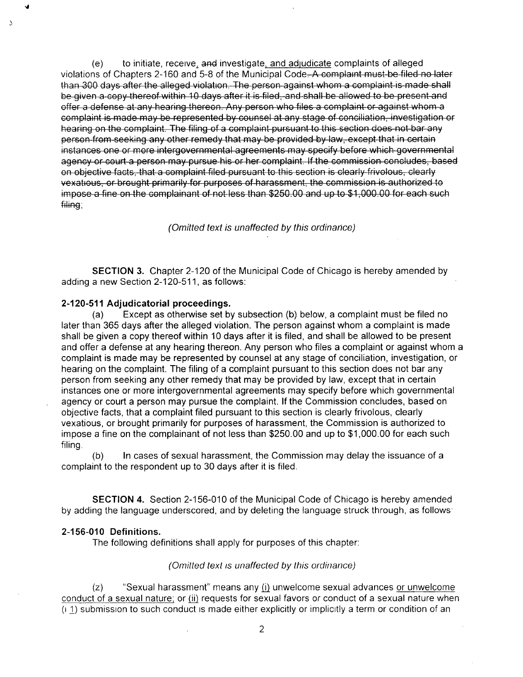(e) to initiate, receive^, and investigate, and adiudicate complaints of alleged violations of Chapters 2-160 and 5-8 of the Municipal Code. A complaint must-be-filed no later than-300 days after the alleged violation. The person-against whom a complaint-is-made shall be-given a-copy-thereof within 10 days after it is filed, and shall be allowed to be present and offer a defense at any hearing thereon. Any person who files a complaint or against whom a complaint is made may be represented by counsel at any stage of conciliation, investigation or<br>hearing on the complaint. The filing of a complaint pursuant to this section does not bar any person from seeking any other remedy that may be provided by law, except that in certain instances one or more intergovernmental agreements may specify before which governmental agency or court a person may pursue his or her complaint. Ifthe commission concludes, based on objective facts, that a complaint filed pursuant to this section is clearly frivolous, clearly vexatious, or brought primarily for purposes of harassment, the commission is authorized to impose a fine on the complainant of not less than \$250.00 and up to \$1,000.00 for each such filing,

(Omitted text is unaffected by this ordinance)

**SECTION 3.** Chapter 2-120 of the Municipal Code of Chicago is hereby amended by adding a new Section 2-120-511, as follows:

#### **2-120-511 Adjudicatorial proceedings.**

 $\Delta$ 

(a) Except as otherwise set by subsection (b) below, a complaint must be filed no later than 365 days after the alleged violation. The person against whom a complaint is made shall be given a copy thereof within 10 days after it is filed, and shall be allowed to be present and offer a defense at any hearing thereon. Any person who files a complaint or against whom a complaint is made may be represented by counsel at any stage of conciliation, investigation, or hearing on the complaint. The filing of a complaint pursuant to this section does not bar any person from seeking any other remedy that may be provided by law, except that in certain instances one or more intergovernmental agreements may specify before which governmental agency or court a person may pursue the complaint. If the Commission concludes, based on objective facts, that a complaint filed pursuant to this section is clearly frivolous, clearly vexatious, or brought primarily for purposes of harassment, the Commission is authorized to impose a fine on the complainant of not less than \$250.00 and up to \$1,000.00 for each such filing.

(b) In cases of sexual harassment, the Commission may delay the issuance of a complaint to the respondent up to 30 days after it is filed.

SECTION 4. Section 2-156-010 of the Municipal Code of Chicago is hereby amended by adding the language underscored, and by deleting the language struck through, as follows

#### **2-156-010 Definitions.**

The following definitions shall apply for purposes of this chapter:

#### (Omitted text is unaffected by this ordinance)

(z) "Sexual harassment" means any (i) unwelcome sexual advances or unwelcome conduct of a sexual nature; or (ii) requests for sexual favors or conduct of a sexual nature when  $(1)$  submission to such conduct is made either explicitly or implicitly a term or condition of an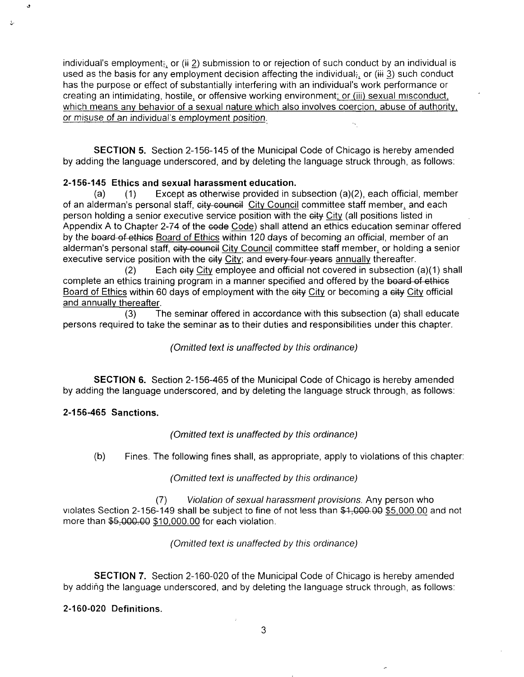individual's employment<sub>ia</sub> or (ii 2) submission to or rejection of such conduct by an individual is used as the basis for any employment decision affecting the individual; or (iii 3) such conduct has the purpose or effect of substantially interfering with an individual's work performance or creating an intimidating, hostile, or offensive working environment; or (iii) sexual misconduct, which means any behavior of a sexual nature which also involves coercion, abuse of authority, or misuse of an individual's employment position.

SECTION 5. Section 2-156-145 of the Municipal Code of Chicago is hereby amended by adding the language underscored, and by deleting the language struck through, as follows:

# **2-156-145 Ethics and sexual harassment education.**

(a)  $(1)$  Except as otherwise provided in subsection (a)(2), each official, member of an alderman's personal staff, city council City Council committee staff member, and each person holding a senior executive service position with the eity City (all positions listed in Appendix A to Chapter 2-74 of the code Code) shall attend an ethics education seminar offered by the board of ethics Board of Ethics within 120 days of becoming an official, member of an alderman's personal staff, city council City Council committee staff member, or holding a senior executive service position with the eity City; and every four years annually thereafter.

(2) Each eity City employee and official not covered in subsection (a)(1) shall complete an ethics training program in a manner specified and offered by the board of ethics Board of Ethics within 60 days of employment with the eity City or becoming a eity City official and annually thereafter.

(3) The seminar offered in accordance with this subsection (a) shall educate persons required to take the seminar as to their duties and responsibilities under this chapter.

(Omitted text is unaffected by this ordinance)

SECTION 6. Section 2-156-465 of the Municipal Code of Chicago is hereby amended by adding the language underscored, and by deleting the language struck through, as follows:

# **2-156-465 Sanctions.**

Ó.

(Omitted text is unaffected by this ordinance)

(b) Fines. The following fines shall, as appropriate, apply to violations of this chapter:

# (Omitted text is unaffected by this ordinance)

(7) Violation of sexual harassment provisions. Any person who violates Section 2-156-149 shall be subject to fine of not less than \$1,000.00 \$5,000.00 and not more than \$5,000.00 \$10,000.00 for each violation.

(Omitted text is unaffected by this ordinance)

SECTION 7. Section 2-160-020 of the Municipal Code of Chicago is hereby amended by adding the language underscored, and by deleting the language struck through, as follows:

# **2-160-020 Definitions.**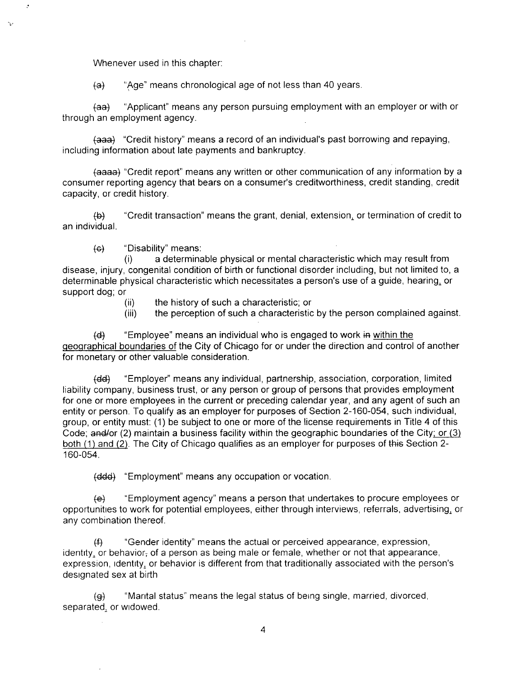Whenever used in this chapter:

 $\mathcal{L}$ 

 $\mathcal{H}_{\mathcal{A}}$ 

(a) "Age" means chronological age of not less than 40 years.

(aa-) "Applicant" means any person pursuing employment with an employer or with or through an employment agency.

(aaa) "Credit history" means a record of an individual's past borrowing and repaying, including information about late payments and bankruptcy.

(aaaa) "Credit report" means any written or other communication of any information by a consumer reporting agency that bears on a consumer's creditworthiness, credit standing, credit capacity, or credit history.

(b) "Credit transaction" means the grant, denial, extension, or termination of credit to an individual.

(e) "Disability" means:

(i) a determinable physical or mental characteristic which may result from disease, injury, congenital condition of birth or functional disorder including, but not limited to, a determinable physical characteristic which necessitates a person's use of a guide, hearing, or support dog; or

- (ii) the history of such a characteristic; or
- (iii) the perception of such a characteristic by the person complained against.

 $(d)$  "Employee" means an individual who is engaged to work in within the geographical boundaries of the City of Chicago for or under the direction and control of another for monetary or other valuable consideration.

(dd) "Employer" means any individual, partnership, association, corporation, limited liability company, business trust, or any person or group of persons that provides employment for one or more employees in the current or preceding calendar year, and any agent of such an entity or person. To qualify as an employer for purposes of Section 2-160-054, such individual, group, or entity must: (1) be subject to one or more of the license requirements in Title 4 of this Code; and/or (2) maintain a business facility within the geographic boundaries of the City; or (3) both (1) and (2). The City of Chicago qualifies as an employer for purposes of this Section 2-160-054.

(ddd) "Employment" means any occupation or vocation.

(e) "Employment agency" means a person that undertakes to procure employees or opportunities to work for potential employees, either through interviews, referrals, advertising^ or any combination thereof.

(f) "Gender identity" means the actual or perceived appearance, expression, identity, or behavior; of a person as being male or female, whether or not that appearance, expression, identity, or behavior is different from that traditionally associated with the person's designated sex at birth

(§) "Marital status" means the legal status of being single, married, divorced, separated, or widowed.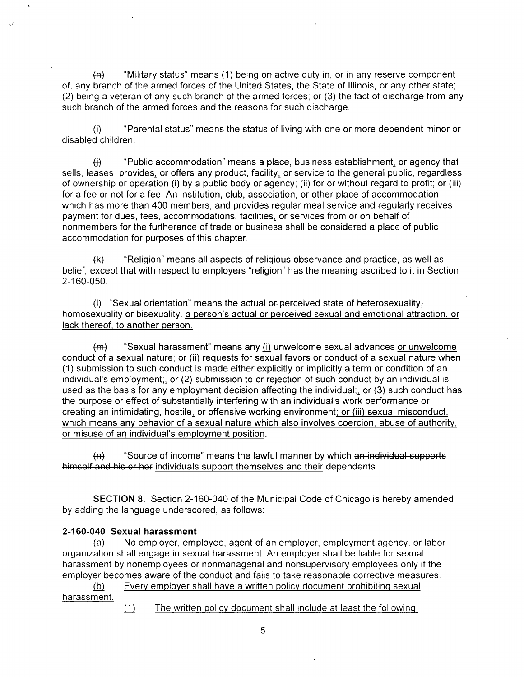(h) "Military status" means (1) being on active duty in, or in any reserve component of, any branch of the armed forces of the United States, the State of Illinois, or any other state; (2) being a veteran of any such branch of the armed forces; or (3) the fact of discharge from any such branch of the armed forces and the reasons for such discharge.

(i) "Parental status" means the status of living with one or more dependent minor or disabled children.

 $(i)$  "Public accommodation" means a place, business establishment, or agency that sells, leases, provides, or offers any product, facility, or service to the general public, regardless of ownership or operation (i) by a public body or agency; (ii) for or without regard to profit; or (iii) for a fee or not for a fee. An institution, club, association, or other place of accommodation which has more than 400 members, and provides regular meal service and regularly receives payment for dues, fees, accommodations, facilities, or services from or on behalf of nonmembers for the furtherance of trade or business shall be considered a place of public accommodation for purposes of this chapter.

(k) "Religion" means all aspects of religious observance and practice, as well as belief, except that with respect to employers "religion" has the meaning ascribed to it in Section 2-160-050.

(I) "Sexual orientation" means the actual or perceived state of heterosexuality, homosexuality or bisexuality, a person's actual or perceived sexual and emotional attraction, or lack thereof, to another person.

(m) "Sexual harassment" means any (i) unwelcome sexual advances or unwelcome conduct of a sexual nature; or (ii) requests for sexual favors or conduct of a sexual nature when (1) submission to such conduct is made either explicitly or implicitly a term or condition of an individual's employment; or (2) submission to or rejection of such conduct by an individual is used as the basis for any employment decision affecting the individual<sub> $\frac{1}{2}$ </sub> or (3) such conduct has the purpose or effect of substantially interfering with an individual's work performance or creating an intimidating, hostile, or offensive working environment; or (iii) sexual misconduct, which means any behavior of a sexual nature which also involves coercion, abuse of authority, or misuse of an individual's employment position.

 $(n)$  "Source of income" means the lawful manner by which an individual supports himself and his or her individuals support themselves and their dependents.

SECTION 8. Section 2-160-040 of the Municipal Code of Chicago is hereby amended by adding the language underscored, as follows:

# **2-160-040 Sexual harassment**

(a) No employer, employee, agent of an employer, employment agency, or labor organization shall engage in sexual harassment. An employer shall be liable for sexual harassment by nonemployees or nonmanagerial and nonsupervisory employees only if the employer becomes aware of the conduct and fails to take reasonable corrective measures.

(b) Every employer shall have a written policy document prohibiting sexual harassment.

(1) The written policy document shall include at least the following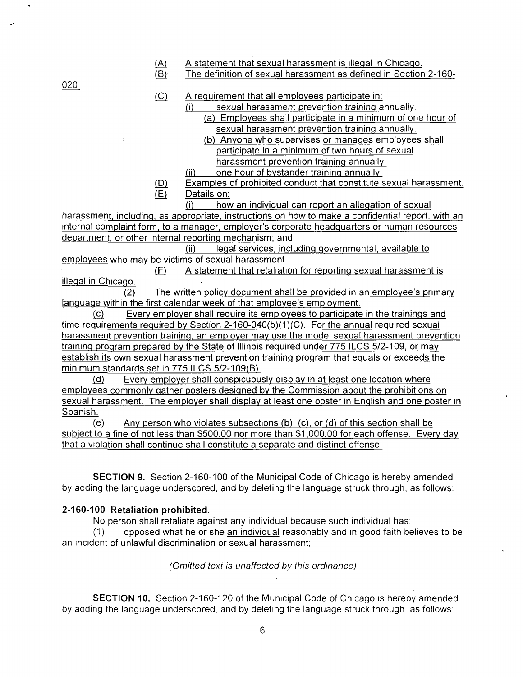- (A) A statement that sexual harassment is illegal in Chicago.
- (B) The definition of sexual harassment as defined in Section 2-160-

020

 $\mathbf{f}$ 

- (C) A reguirement that all employees participate in:
	- (i) sexual harassment prevention training annually.

(a) Emplovees shall participate in a minimum of one hour of sexual harassment prevention training annually.

- (b) Anyone who supervises or manages employees shall participate in a minimum of two hours of sexual harassment prevention training annually.
- (ii) one hour of bystander training annually.
- (D) Examples of prohibited conduct that constitute sexual harassment.
- (E) Details on:

(i) how an individual can report an allegation of sexual

harassment, including, as appropriate, instructions on how to make a confidential report, with an internal complaint form, to a manager, employer's corporate headguarters or human resources department, or other internal reporting mechanism; and

(ii) legal services, including governmental, available to employees who may be victims of sexual harassment.

(F) A statement that retaliation for reporting sexual harassment is illegal in Chicago.

(2) The written policy document shall be provided in an employee's primary language within the first calendar week of that employee's emplovment.

(c) Every employer shall reguire its employees to participate in the trainings and time reguirements reguired by Section 2-160-040(b)(1)(C). For the annual reguired sexual harassment prevention training, an employer may use the model sexual harassment prevention training program prepared by the State of Illinois reguired under 775 ILCS 5/2-109, or mav establish its own sexual harassment prevention training program that eguals or exceeds the minimum standards set in 775 ILCS 5/2-109(B).

(d) Every employer shall conspicuously display in at least one location where employees commonly gather posters designed by the Commission about the prohibitions on sexual harassment. The employer shall display at least one poster in English and one poster in Spanish.

(e) Any person who violates subsections (b), (c), or (d) of this section shall be subject to a fine of not less than \$500.00 nor more than \$1,000.00 for each offense. Every day that a violation shall continue shall constitute a separate and distinct offense.

SECTION 9. Section 2-160-100 of the Municipal Code of Chicago is hereby amended by adding the language underscored, and by deleting the language struck through, as follows:

# **2-160-100 Retaliation prohibited.**

No person shall retaliate against any individual because such individual has:

(1) opposed what he or she an individual reasonably and in good faith believes to be an incident of unlawful discrimination or sexual harassment;

#### (Omitted text is unaffected by this ordinance)

SECTION 10. Section 2-160-120 of the Municipal Code of Chicago is hereby amended by adding the language underscored, and by deleting the language struck through, as follows'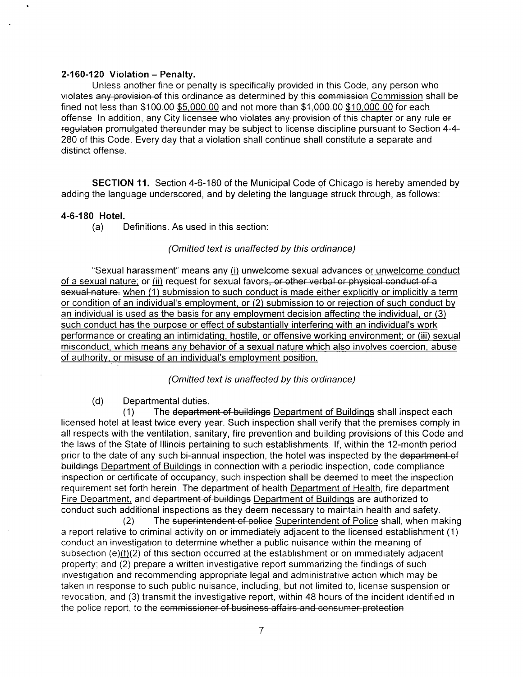#### **2-160-120 Violation - Penalty.**

Unless another fine or penalty is specifically provided in this Code, any person who violates any provision of this ordinance as determined by this commission Commission shall be fined not less than  $$100.00$  \$5,000.00 and not more than  $$1,000.00$  \$10,000.00 for each offense In addition, any City licensee who violates any provision of this chapter or any rule or regulation promulgated thereunder may be subject to license discipline pursuant to Section 4-4-280 of this Code. Every day that a violation shall continue shall constitute a separate and distinct offense.

SECTION 11. Section 4-6-180 of the Municipal Code of Chicago is hereby amended by adding the language underscored, and by deleting the language struck through, as follows:

## **4-6-180 Hotel.**

(a) Definitions. As used in this section:

## (Omitted text is unaffected by this ordinance)

"Sexual harassment" means any (i) unwelcome sexual advances or unwelcome conduct of a sexual nature; or (ii) request for sexual favors, or other verbal or physical conduct of a sexual-nature, when (1) submission to such conduct is made either explicitly or implicitly a term or condition of an individual's employment, or (2) submission to or rejection of such conduct by an individual is used as the basis for any employment decision affecting the individual, or (3) such conduct has the purpose or effect of substantially interfering with an individual's work performance or creating an intimidating, hostile, or offensive working environment; or (iii) sexual misconduct, which means any behavior of a sexual nature which also involves coercion, abuse of authority, or misuse of an individual's employment position.

(Omitted text is unaffected by this ordinance)

(d) Departmental duties.

(1) The department of buildings Department of Buildings shall inspect each licensed hotel at least twice every year. Such inspection shall verify that the premises comply in all respects with the ventilation, sanitary, fire prevention and building provisions of this Code and the laws of the State of Illinois pertaining to such establishments. If, within the 12-month period prior to the date of any such bi-annual inspection, the hotel was inspected by the department of buildings Department of Buildings in connection with a periodic inspection, code compliance inspection or certificate of occupancy, such inspection shall be deemed to meet the inspection requirement set forth herein. The department of health Department of Health, fire department Fire Department, and department of buildings Department of Buildings are authorized to conduct such additional inspections as they deem necessary to maintain health and safety.

(2) The superintendent of police Superintendent of Police shall, when making a report relative to criminal activity on or immediately adjacent to the licensed establishment (1) conduct an investigation to determine whether a public nuisance within the meaning of subsection (e)(f)(2) of this section occurred at the establishment or on immediately adjacent property; and (2) prepare a written investigative report summarizing the findings of such investigation and recommending appropriate legal and administrative action which may be taken in response to such public nuisance, including, but not limited to, license suspension or revocation, and (3) transmit the investigative report, within 48 hours of the incident identified in the police report, to the commissioner of business affairs and consumer protection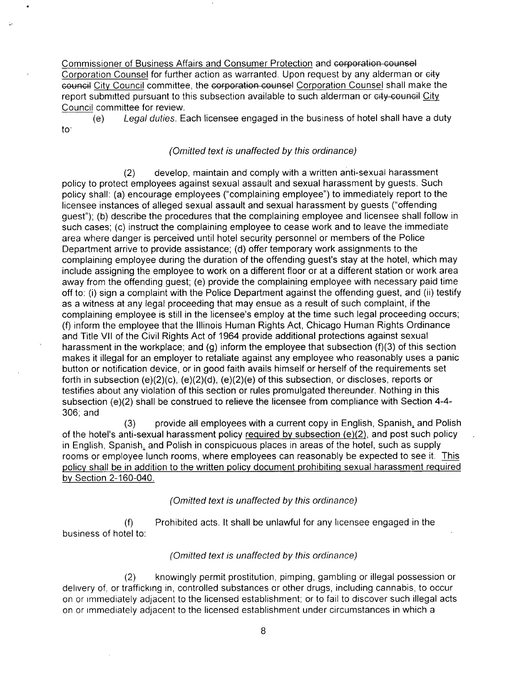Commissioner of Business Affairs and Consumer Protection and corporation counsel Corporation Counsel for further action as warranted. Upon request by any alderman or eity council City Council committee, the corporation counsel Corporation Counsel shall make the report submitted pursuant to this subsection available to such alderman or eity council City Council committee for review.

(e) Legal duties. Each licensee engaged in the business of hotel shall have a duty to-

#### (Omitted text is unaffected by this ordinance)

(2) develop, maintain and comply with a written anti-sexual harassment policy to protect employees against sexual assault and sexual harassment by guests. Such policy shall: (a) encourage employees ("complaining employee") to immediately report to the licensee instances of alleged sexual assault and sexual harassment by guests ("offending guest"); (b) describe the procedures that the complaining employee and licensee shall follow in such cases; (c) instruct the complaining employee to cease work and to leave the immediate area where danger is perceived until hotel security personnel or members of the Police Department arrive to provide assistance; (d) offer temporary work assignments to the complaining employee during the duration of the offending guest's stay at the hotel, which may include assigning the employee to work on a different floor or at a different station or work area away from the offending guest; (e) provide the complaining employee with necessary paid time off to: (i) sign a complaint with the Police Department against the offending guest, and (ii) testify as a witness at any legal proceeding that may ensue as a result of such complaint, if the complaining employee is still in the licensee's employ at the time such legal proceeding occurs; (f) inform the employee that the Illinois Human Rights Act, Chicago Human Rights Ordinance and Title VII of the Civil Rights Act of 1964 provide additional protections against sexual harassment in the workplace; and (g) inform the employee that subsection (f)(3) of this section makes it illegal for an employer to retaliate against any employee who reasonably uses a panic button or notification device, or in good faith avails himself or herself of the requirements set forth in subsection (e)(2)(c), (e)(2)(d), (e)(2)(e) of this subsection, or discloses, reports or testifies about any violation of this section or rules promulgated thereunder. Nothing in this subsection (e)(2) shall be construed to relieve the licensee from compliance with Section 4-4- 306;and

 $(3)$  provide all employees with a current copy in English, Spanish, and Polish of the hotel's anti-sexual harassment policy required by subsection (e)(2), and post such policy in English, Spanish, and Polish in conspicuous places in areas of the hotel, such as supply rooms or employee lunch rooms, where employees can reasonably be expected to see it. This policy shall be in addition to the written policy document prohibiting sexual harassment reguired bv Section 2-160-040.

(Omitted text is unaffected by this ordinance)

(f) Prohibited acts. It shall be unlawful for any licensee engaged in the business of hotel to:

#### $(Omitted text is unaffected by this ordiance)$

(2) knowingly permit prostitution, pimping, gambling or illegal possession or delivery of, or trafficking in, controlled substances or other drugs, including cannabis, to occur on or immediately adjacent to the licensed establishment; or to fail to discover such illegal acts on or immediately adjacent to the licensed establishment under circumstances in which a